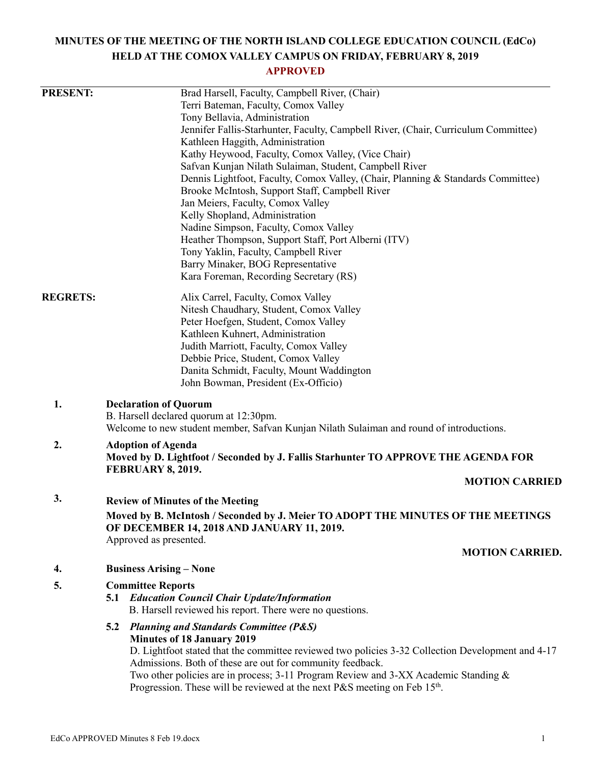# **MINUTES OF THE MEETING OF THE NORTH ISLAND COLLEGE EDUCATION COUNCIL (EdCo) HELD AT THE COMOX VALLEY CAMPUS ON FRIDAY, FEBRUARY 8, 2019**

## **APPROVED**

| <b>PRESENT:</b> |                                                                                                                                | Brad Harsell, Faculty, Campbell River, (Chair)<br>Terri Bateman, Faculty, Comox Valley            |  |
|-----------------|--------------------------------------------------------------------------------------------------------------------------------|---------------------------------------------------------------------------------------------------|--|
|                 |                                                                                                                                | Tony Bellavia, Administration                                                                     |  |
|                 |                                                                                                                                | Jennifer Fallis-Starhunter, Faculty, Campbell River, (Chair, Curriculum Committee)                |  |
|                 |                                                                                                                                | Kathleen Haggith, Administration                                                                  |  |
|                 |                                                                                                                                | Kathy Heywood, Faculty, Comox Valley, (Vice Chair)                                                |  |
|                 |                                                                                                                                | Safvan Kunjan Nilath Sulaiman, Student, Campbell River                                            |  |
|                 |                                                                                                                                | Dennis Lightfoot, Faculty, Comox Valley, (Chair, Planning & Standards Committee)                  |  |
|                 |                                                                                                                                | Brooke McIntosh, Support Staff, Campbell River                                                    |  |
|                 |                                                                                                                                | Jan Meiers, Faculty, Comox Valley                                                                 |  |
|                 |                                                                                                                                | Kelly Shopland, Administration                                                                    |  |
|                 |                                                                                                                                | Nadine Simpson, Faculty, Comox Valley                                                             |  |
|                 |                                                                                                                                | Heather Thompson, Support Staff, Port Alberni (ITV)                                               |  |
|                 |                                                                                                                                | Tony Yaklin, Faculty, Campbell River<br>Barry Minaker, BOG Representative                         |  |
|                 |                                                                                                                                | Kara Foreman, Recording Secretary (RS)                                                            |  |
|                 |                                                                                                                                |                                                                                                   |  |
| <b>REGRETS:</b> |                                                                                                                                | Alix Carrel, Faculty, Comox Valley                                                                |  |
|                 |                                                                                                                                | Nitesh Chaudhary, Student, Comox Valley                                                           |  |
|                 |                                                                                                                                | Peter Hoefgen, Student, Comox Valley                                                              |  |
|                 |                                                                                                                                | Kathleen Kuhnert, Administration<br>Judith Marriott, Faculty, Comox Valley                        |  |
|                 |                                                                                                                                | Debbie Price, Student, Comox Valley                                                               |  |
|                 |                                                                                                                                | Danita Schmidt, Faculty, Mount Waddington                                                         |  |
|                 |                                                                                                                                | John Bowman, President (Ex-Officio)                                                               |  |
| 1.              |                                                                                                                                | <b>Declaration of Quorum</b>                                                                      |  |
|                 | B. Harsell declared quorum at 12:30pm.                                                                                         |                                                                                                   |  |
|                 | Welcome to new student member, Safvan Kunjan Nilath Sulaiman and round of introductions.                                       |                                                                                                   |  |
| 2.              |                                                                                                                                | <b>Adoption of Agenda</b>                                                                         |  |
|                 | Moved by D. Lightfoot / Seconded by J. Fallis Starhunter TO APPROVE THE AGENDA FOR                                             |                                                                                                   |  |
|                 |                                                                                                                                | FEBRUARY 8, 2019.                                                                                 |  |
|                 |                                                                                                                                | <b>MOTION CARRIED</b>                                                                             |  |
| 3.              |                                                                                                                                | <b>Review of Minutes of the Meeting</b>                                                           |  |
|                 | Moved by B. McIntosh / Seconded by J. Meier TO ADOPT THE MINUTES OF THE MEETINGS<br>OF DECEMBER 14, 2018 AND JANUARY 11, 2019. |                                                                                                   |  |
|                 |                                                                                                                                | Approved as presented.<br><b>MOTION CARRIED.</b>                                                  |  |
| 4.              |                                                                                                                                | <b>Business Arising – None</b>                                                                    |  |
| 5.              | <b>Committee Reports</b>                                                                                                       |                                                                                                   |  |
|                 | 5.1                                                                                                                            | <b>Education Council Chair Update/Information</b>                                                 |  |
|                 |                                                                                                                                | B. Harsell reviewed his report. There were no questions.                                          |  |
|                 | 5.2                                                                                                                            | <b>Planning and Standards Committee (P&amp;S)</b>                                                 |  |
|                 |                                                                                                                                | <b>Minutes of 18 January 2019</b>                                                                 |  |
|                 |                                                                                                                                | D. Lightfoot stated that the committee reviewed two policies 3-32 Collection Development and 4-17 |  |
|                 |                                                                                                                                | Admissions. Both of these are out for community feedback.                                         |  |
|                 |                                                                                                                                | Two other policies are in process; 3-11 Program Review and 3-XX Academic Standing &               |  |
|                 |                                                                                                                                | Progression. These will be reviewed at the next P&S meeting on Feb 15 <sup>th</sup> .             |  |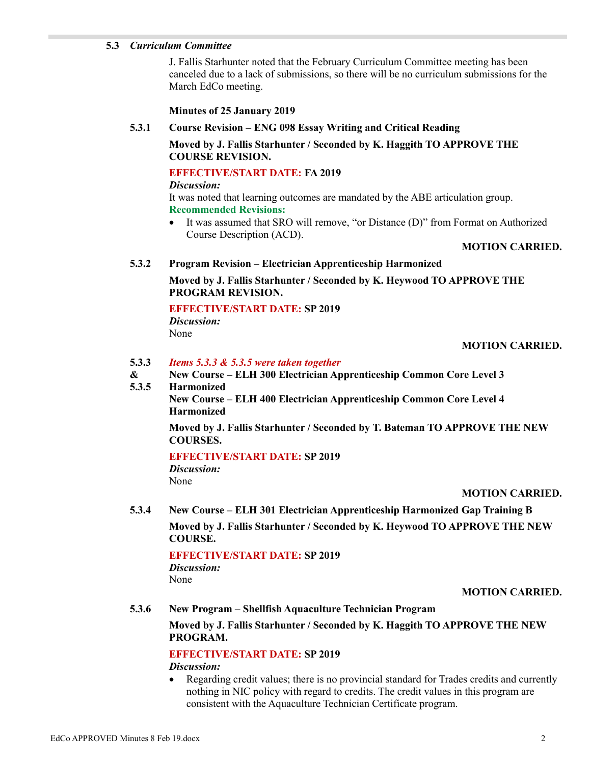## **5.3** *Curriculum Committee*

J. Fallis Starhunter noted that the February Curriculum Committee meeting has been canceled due to a lack of submissions, so there will be no curriculum submissions for the March EdCo meeting.

## **Minutes of 25 January 2019**

## **5.3.1 Course Revision – ENG 098 Essay Writing and Critical Reading**

## **Moved by J. Fallis Starhunter / Seconded by K. Haggith TO APPROVE THE COURSE REVISION.**

## **EFFECTIVE/START DATE: FA 2019**

## *Discussion:*

It was noted that learning outcomes are mandated by the ABE articulation group. **Recommended Revisions:**

 It was assumed that SRO will remove, "or Distance (D)" from Format on Authorized Course Description (ACD).

## **MOTION CARRIED.**

## **5.3.2 Program Revision – Electrician Apprenticeship Harmonized**

**Moved by J. Fallis Starhunter / Seconded by K. Heywood TO APPROVE THE PROGRAM REVISION.**

## **EFFECTIVE/START DATE: SP 2019**

*Discussion:* None

## **MOTION CARRIED.**

#### **5.3.3** *Items 5.3.3 & 5.3.5 were taken together*

**& New Course – ELH 300 Electrician Apprenticeship Common Core Level 3** 

#### **5.3.5 Harmonized**

**New Course – ELH 400 Electrician Apprenticeship Common Core Level 4 Harmonized**

**Moved by J. Fallis Starhunter / Seconded by T. Bateman TO APPROVE THE NEW COURSES.**

### **EFFECTIVE/START DATE: SP 2019**

*Discussion:* None

## **MOTION CARRIED.**

**5.3.4 New Course – ELH 301 Electrician Apprenticeship Harmonized Gap Training B**

**Moved by J. Fallis Starhunter / Seconded by K. Heywood TO APPROVE THE NEW COURSE.**

## **EFFECTIVE/START DATE: SP 2019**

*Discussion:*

None

## **MOTION CARRIED.**

## **5.3.6 New Program – Shellfish Aquaculture Technician Program**

## **Moved by J. Fallis Starhunter / Seconded by K. Haggith TO APPROVE THE NEW PROGRAM.**

## **EFFECTIVE/START DATE: SP 2019** *Discussion:*

 Regarding credit values; there is no provincial standard for Trades credits and currently nothing in NIC policy with regard to credits. The credit values in this program are consistent with the Aquaculture Technician Certificate program.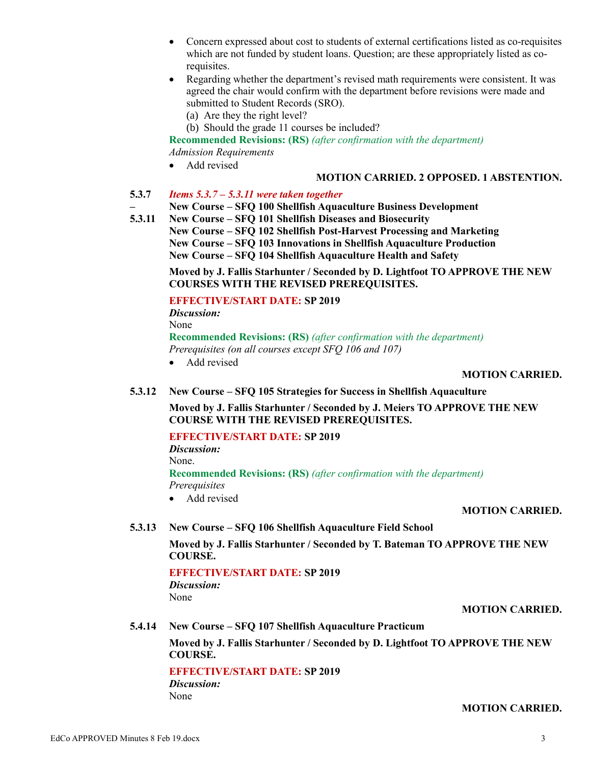- Concern expressed about cost to students of external certifications listed as co-requisites which are not funded by student loans. Question; are these appropriately listed as corequisites.
- Regarding whether the department's revised math requirements were consistent. It was agreed the chair would confirm with the department before revisions were made and submitted to Student Records (SRO).
	- (a) Are they the right level?
	- (b) Should the grade 11 courses be included?

**Recommended Revisions: (RS)** *(after confirmation with the department) Admission Requirements*

• Add revised

## **MOTION CARRIED. 2 OPPOSED. 1 ABSTENTION.**

**5.3.7** *Items 5.3.7 – 5.3.11 were taken together*

**New Course – SFQ 100 Shellfish Aquaculture Business Development**

**5.3.11 New Course – SFQ 101 Shellfish Diseases and Biosecurity New Course – SFQ 102 Shellfish Post-Harvest Processing and Marketing New Course – SFQ 103 Innovations in Shellfish Aquaculture Production New Course – SFQ 104 Shellfish Aquaculture Health and Safety**

> **Moved by J. Fallis Starhunter / Seconded by D. Lightfoot TO APPROVE THE NEW COURSES WITH THE REVISED PREREQUISITES.**

## **EFFECTIVE/START DATE: SP 2019**

*Discussion:*

None

**–**

**Recommended Revisions: (RS)** *(after confirmation with the department) Prerequisites (on all courses except SFQ 106 and 107)*

• Add revised

### **MOTION CARRIED.**

## **5.3.12 New Course – SFQ 105 Strategies for Success in Shellfish Aquaculture**

**Moved by J. Fallis Starhunter / Seconded by J. Meiers TO APPROVE THE NEW COURSE WITH THE REVISED PREREQUISITES.**

## **EFFECTIVE/START DATE: SP 2019**

*Discussion:* None. **Recommended Revisions: (RS)** *(after confirmation with the department) Prerequisites*

• Add revised

### **MOTION CARRIED.**

## **5.3.13 New Course – SFQ 106 Shellfish Aquaculture Field School**

**Moved by J. Fallis Starhunter / Seconded by T. Bateman TO APPROVE THE NEW COURSE.**

## **EFFECTIVE/START DATE: SP 2019**

*Discussion:* None

## **MOTION CARRIED.**

## **5.4.14 New Course – SFQ 107 Shellfish Aquaculture Practicum**

**Moved by J. Fallis Starhunter / Seconded by D. Lightfoot TO APPROVE THE NEW COURSE.**

## **EFFECTIVE/START DATE: SP 2019**

*Discussion:* None

## **MOTION CARRIED.**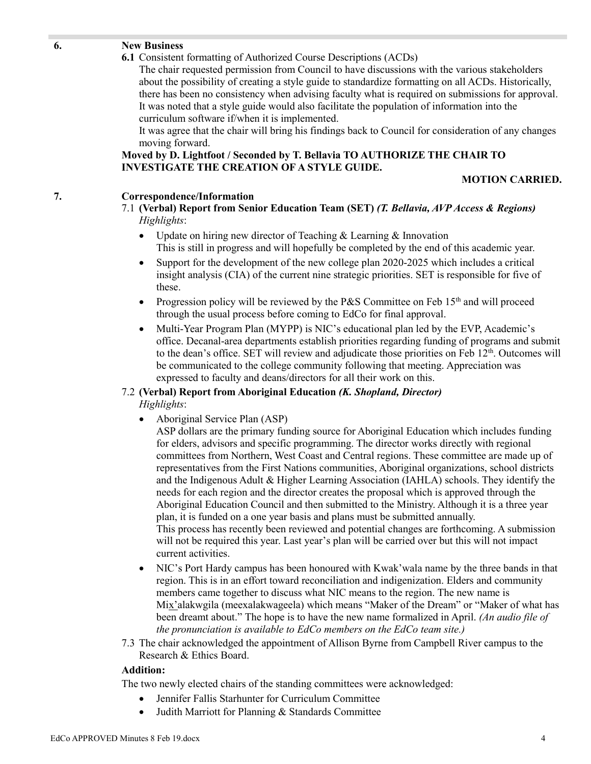## **6. New Business**

### **6.1** Consistent formatting of Authorized Course Descriptions (ACDs)

The chair requested permission from Council to have discussions with the various stakeholders about the possibility of creating a style guide to standardize formatting on all ACDs. Historically, there has been no consistency when advising faculty what is required on submissions for approval. It was noted that a style guide would also facilitate the population of information into the curriculum software if/when it is implemented.

It was agree that the chair will bring his findings back to Council for consideration of any changes moving forward.

## **Moved by D. Lightfoot / Seconded by T. Bellavia TO AUTHORIZE THE CHAIR TO INVESTIGATE THE CREATION OF A STYLE GUIDE.**

### **MOTION CARRIED.**

## **7. Correspondence/Information**

7.1 **(Verbal) Report from Senior Education Team (SET)** *(T. Bellavia, AVP Access & Regions) Highlights*:

- Update on hiring new director of Teaching & Learning & Innovation This is still in progress and will hopefully be completed by the end of this academic year.
- Support for the development of the new college plan 2020-2025 which includes a critical insight analysis (CIA) of the current nine strategic priorities. SET is responsible for five of these.
- Progression policy will be reviewed by the P&S Committee on Feb  $15<sup>th</sup>$  and will proceed through the usual process before coming to EdCo for final approval.
- Multi-Year Program Plan (MYPP) is NIC's educational plan led by the EVP, Academic's office. Decanal-area departments establish priorities regarding funding of programs and submit to the dean's office. SET will review and adjudicate those priorities on Feb 12<sup>th</sup>. Outcomes will be communicated to the college community following that meeting. Appreciation was expressed to faculty and deans/directors for all their work on this.

#### 7.2 **(Verbal) Report from Aboriginal Education** *(K. Shopland, Director) Highlights*:

• Aboriginal Service Plan (ASP)

ASP dollars are the primary funding source for Aboriginal Education which includes funding for elders, advisors and specific programming. The director works directly with regional committees from Northern, West Coast and Central regions. These committee are made up of representatives from the First Nations communities, Aboriginal organizations, school districts and the Indigenous Adult & Higher Learning Association (IAHLA) schools. They identify the needs for each region and the director creates the proposal which is approved through the Aboriginal Education Council and then submitted to the Ministry. Although it is a three year plan, it is funded on a one year basis and plans must be submitted annually. This process has recently been reviewed and potential changes are forthcoming. A submission will not be required this year. Last year's plan will be carried over but this will not impact current activities.

- NIC's Port Hardy campus has been honoured with Kwak'wala name by the three bands in that region. This is in an effort toward reconciliation and indigenization. Elders and community members came together to discuss what NIC means to the region. The new name is Mix'alakwgila (meexalakwageela) which means "Maker of the Dream" or "Maker of what has been dreamt about." The hope is to have the new name formalized in April. *(An audio file of the pronunciation is available to EdCo members on the EdCo team site.)*
- 7.3 The chair acknowledged the appointment of Allison Byrne from Campbell River campus to the Research & Ethics Board.

## **Addition:**

The two newly elected chairs of the standing committees were acknowledged:

- Jennifer Fallis Starhunter for Curriculum Committee
- Judith Marriott for Planning & Standards Committee